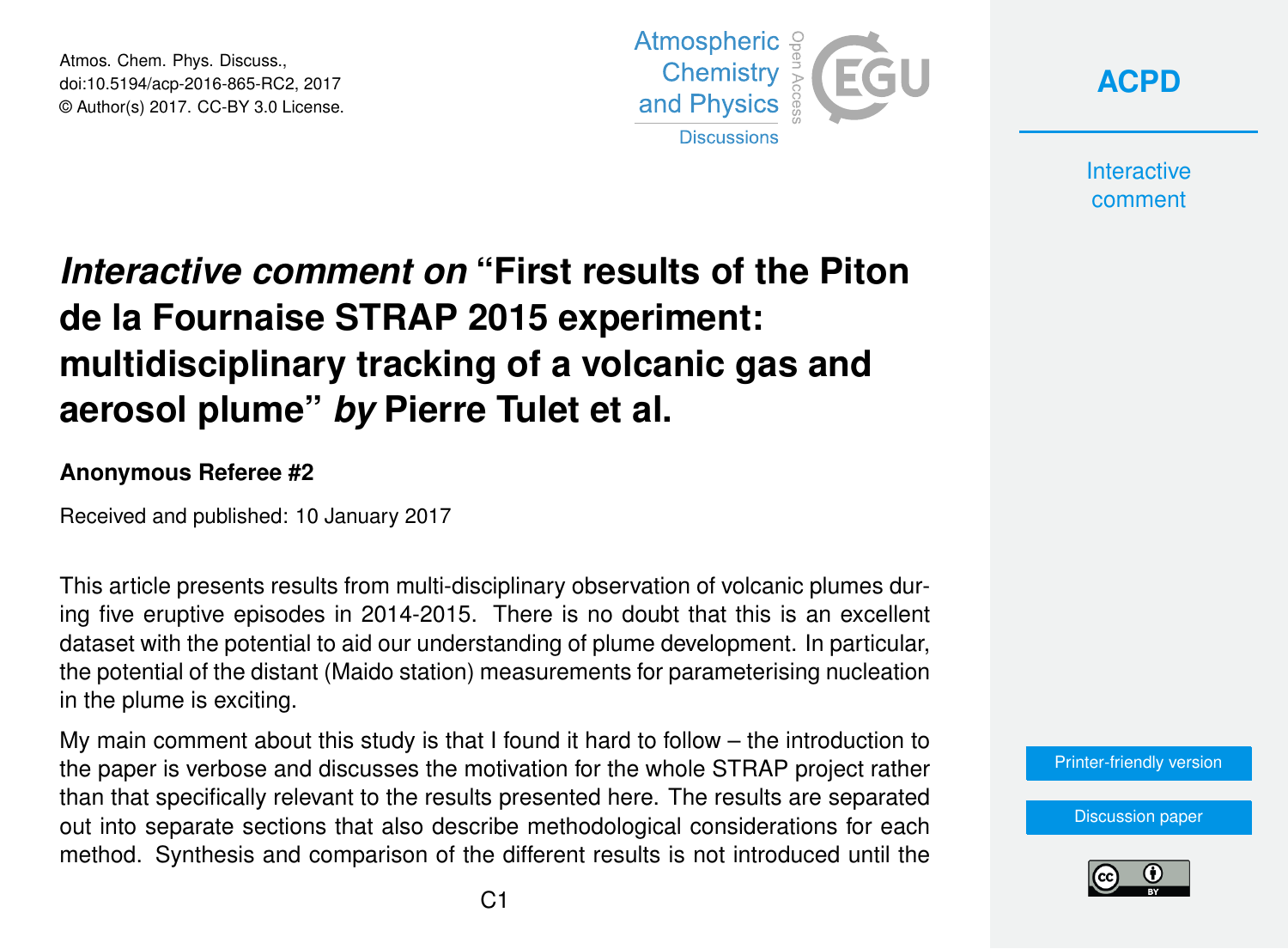Atmos. Chem. Phys. Discuss., doi:10.5194/acp-2016-865-RC2, 2017 © Author(s) 2017. CC-BY 3.0 License.





**Interactive** comment

## *Interactive comment on* **"First results of the Piton de la Fournaise STRAP 2015 experiment: multidisciplinary tracking of a volcanic gas and aerosol plume"** *by* **Pierre Tulet et al.**

## **Anonymous Referee #2**

Received and published: 10 January 2017

This article presents results from multi-disciplinary observation of volcanic plumes during five eruptive episodes in 2014-2015. There is no doubt that this is an excellent dataset with the potential to aid our understanding of plume development. In particular, the potential of the distant (Maido station) measurements for parameterising nucleation in the plume is exciting.

My main comment about this study is that I found it hard to follow – the introduction to the paper is verbose and discusses the motivation for the whole STRAP project rather than that specifically relevant to the results presented here. The results are separated out into separate sections that also describe methodological considerations for each method. Synthesis and comparison of the different results is not introduced until the

[Printer-friendly version](http://www.atmos-chem-phys-discuss.net/acp-2016-865/acp-2016-865-RC2-print.pdf)

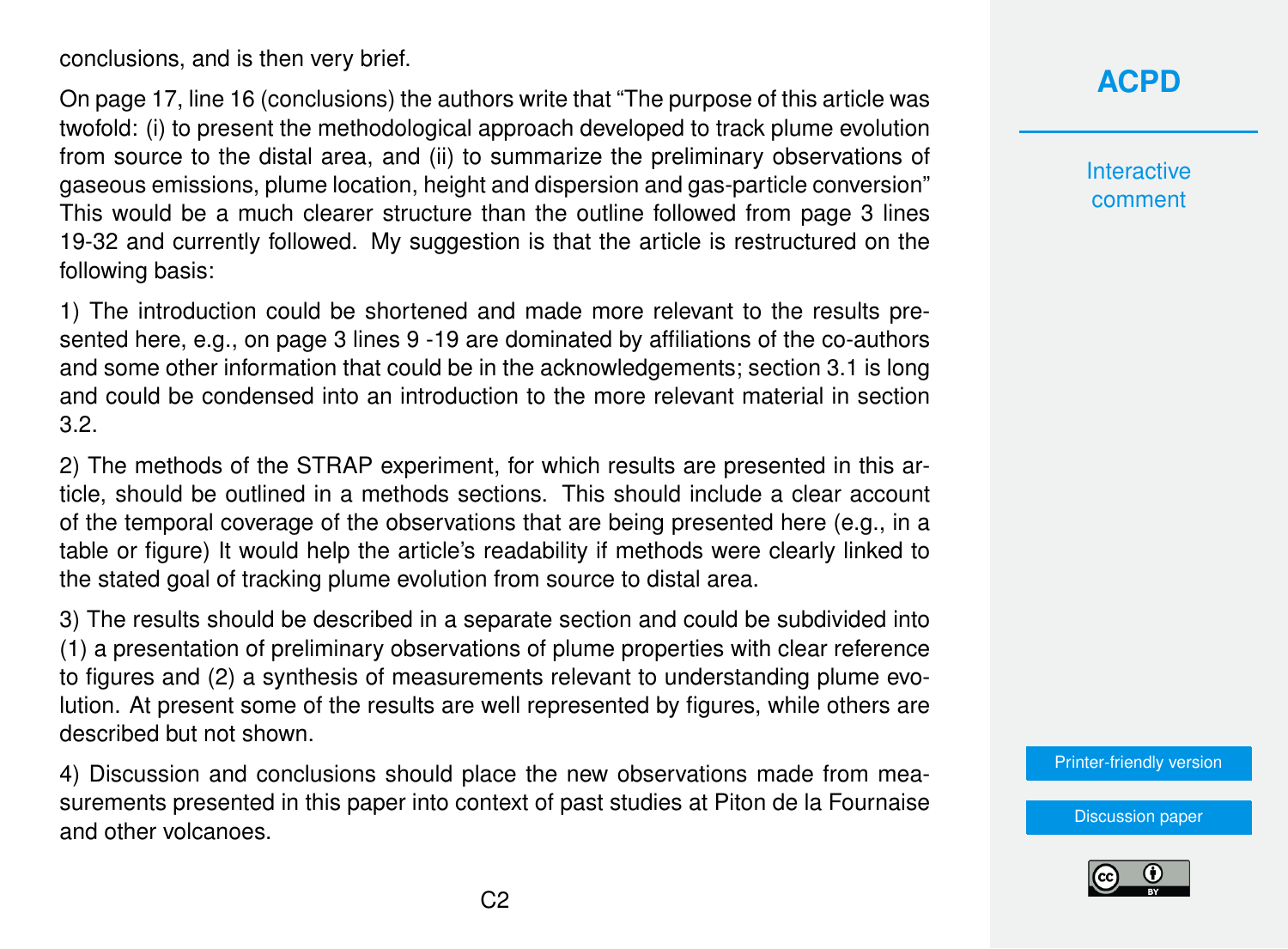conclusions, and is then very brief.

On page 17, line 16 (conclusions) the authors write that "The purpose of this article was twofold: (i) to present the methodological approach developed to track plume evolution from source to the distal area, and (ii) to summarize the preliminary observations of gaseous emissions, plume location, height and dispersion and gas-particle conversion" This would be a much clearer structure than the outline followed from page 3 lines 19-32 and currently followed. My suggestion is that the article is restructured on the following basis:

1) The introduction could be shortened and made more relevant to the results presented here, e.g., on page 3 lines 9 -19 are dominated by affiliations of the co-authors and some other information that could be in the acknowledgements; section 3.1 is long and could be condensed into an introduction to the more relevant material in section 3.2.

2) The methods of the STRAP experiment, for which results are presented in this article, should be outlined in a methods sections. This should include a clear account of the temporal coverage of the observations that are being presented here (e.g., in a table or figure) It would help the article's readability if methods were clearly linked to the stated goal of tracking plume evolution from source to distal area.

3) The results should be described in a separate section and could be subdivided into (1) a presentation of preliminary observations of plume properties with clear reference to figures and (2) a synthesis of measurements relevant to understanding plume evolution. At present some of the results are well represented by figures, while others are described but not shown.

4) Discussion and conclusions should place the new observations made from measurements presented in this paper into context of past studies at Piton de la Fournaise and other volcanoes.

**[ACPD](http://www.atmos-chem-phys-discuss.net/)**

**Interactive** comment

[Printer-friendly version](http://www.atmos-chem-phys-discuss.net/acp-2016-865/acp-2016-865-RC2-print.pdf)

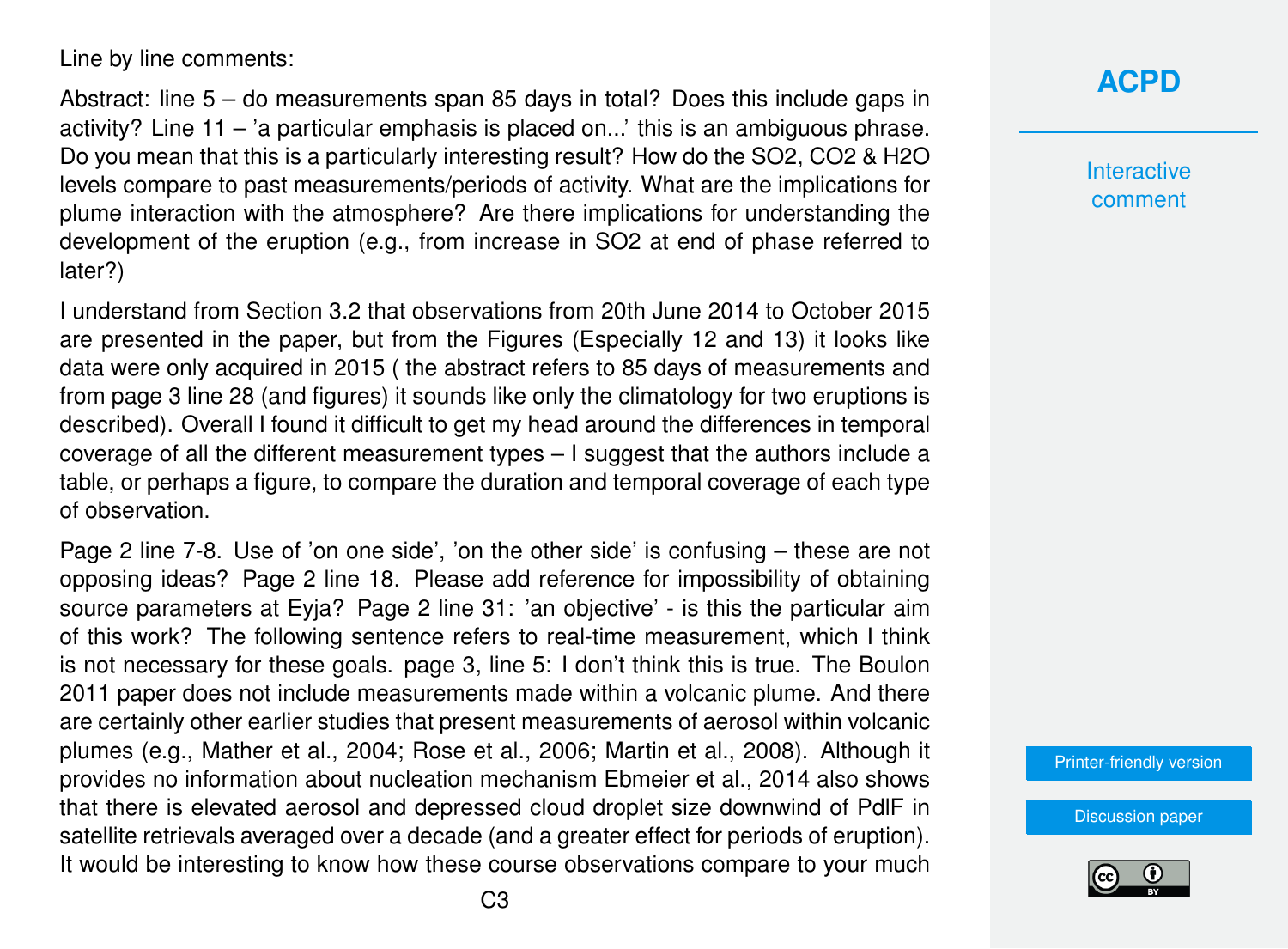Line by line comments:

Abstract: line 5 – do measurements span 85 days in total? Does this include gaps in activity? Line 11 – 'a particular emphasis is placed on...' this is an ambiguous phrase. Do you mean that this is a particularly interesting result? How do the SO2, CO2 & H2O levels compare to past measurements/periods of activity. What are the implications for plume interaction with the atmosphere? Are there implications for understanding the development of the eruption (e.g., from increase in SO2 at end of phase referred to later?)

I understand from Section 3.2 that observations from 20th June 2014 to October 2015 are presented in the paper, but from the Figures (Especially 12 and 13) it looks like data were only acquired in 2015 ( the abstract refers to 85 days of measurements and from page 3 line 28 (and figures) it sounds like only the climatology for two eruptions is described). Overall I found it difficult to get my head around the differences in temporal coverage of all the different measurement types – I suggest that the authors include a table, or perhaps a figure, to compare the duration and temporal coverage of each type of observation.

Page 2 line 7-8. Use of 'on one side', 'on the other side' is confusing – these are not opposing ideas? Page 2 line 18. Please add reference for impossibility of obtaining source parameters at Eyja? Page 2 line 31: 'an objective' - is this the particular aim of this work? The following sentence refers to real-time measurement, which I think is not necessary for these goals. page 3, line 5: I don't think this is true. The Boulon 2011 paper does not include measurements made within a volcanic plume. And there are certainly other earlier studies that present measurements of aerosol within volcanic plumes (e.g., Mather et al., 2004; Rose et al., 2006; Martin et al., 2008). Although it provides no information about nucleation mechanism Ebmeier et al., 2014 also shows that there is elevated aerosol and depressed cloud droplet size downwind of PdlF in satellite retrievals averaged over a decade (and a greater effect for periods of eruption). It would be interesting to know how these course observations compare to your much

## **[ACPD](http://www.atmos-chem-phys-discuss.net/)**

**Interactive** comment

[Printer-friendly version](http://www.atmos-chem-phys-discuss.net/acp-2016-865/acp-2016-865-RC2-print.pdf)